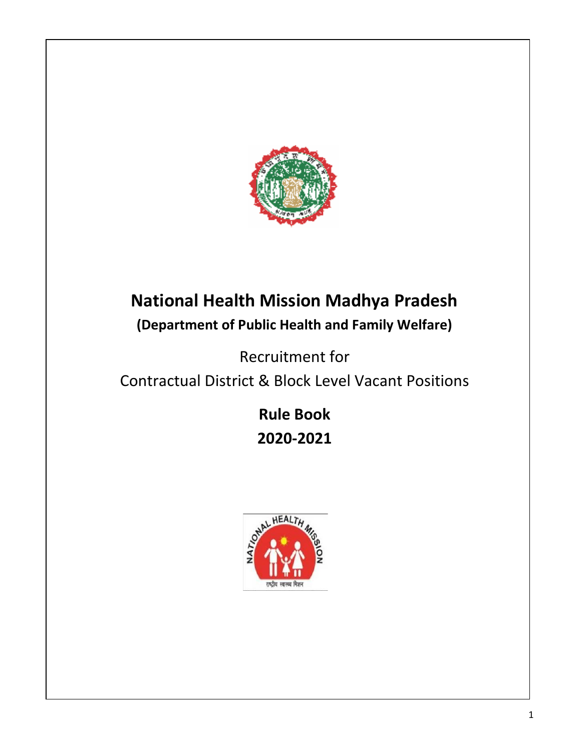

# **National Health Mission Madhya Pradesh (Department of Public Health and Family Welfare)**

Recruitment for

Contractual District & Block Level Vacant Positions

**Rule Book 2020-2021**

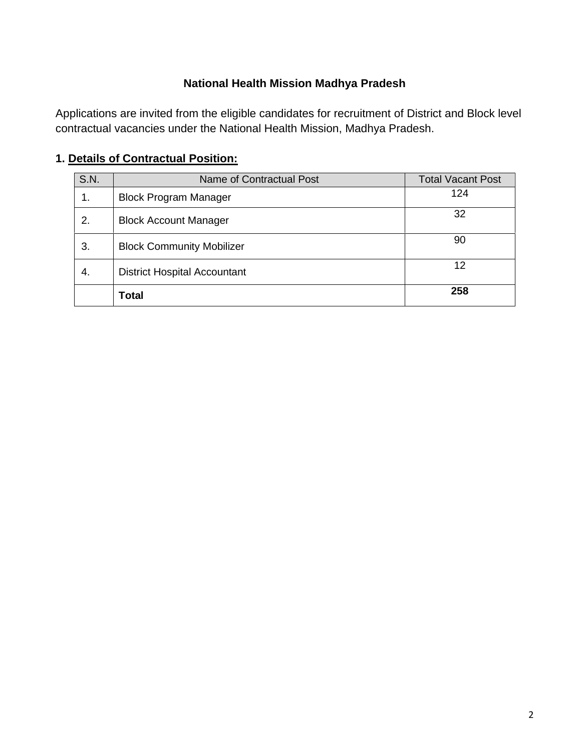#### **National Health Mission Madhya Pradesh**

Applications are invited from the eligible candidates for recruitment of District and Block level contractual vacancies under the National Health Mission, Madhya Pradesh.

#### **1. Details of Contractual Position:**

| <b>S.N.</b> | Name of Contractual Post            | <b>Total Vacant Post</b> |
|-------------|-------------------------------------|--------------------------|
| 1.          | <b>Block Program Manager</b>        | 124                      |
| 2.          | <b>Block Account Manager</b>        | 32                       |
| 3.          | <b>Block Community Mobilizer</b>    | 90                       |
| 4.          | <b>District Hospital Accountant</b> | 12                       |
|             | Total                               | 258                      |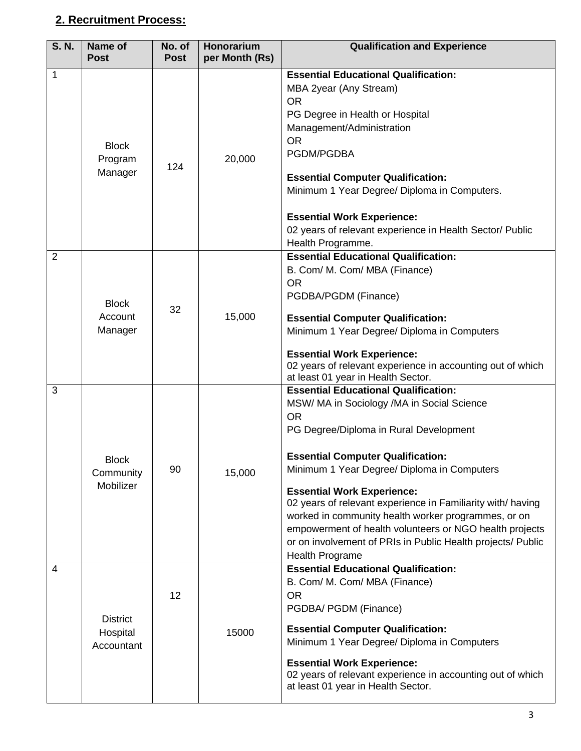#### **2. Recruitment Process:**

| <b>S. N.</b>   | Name of<br><b>Post</b>                    | No. of<br><b>Post</b> | Honorarium<br>per Month (Rs) | <b>Qualification and Experience</b>                                                                                                                                                                                                                                                                                                                                                                                                                                                                                                                 |
|----------------|-------------------------------------------|-----------------------|------------------------------|-----------------------------------------------------------------------------------------------------------------------------------------------------------------------------------------------------------------------------------------------------------------------------------------------------------------------------------------------------------------------------------------------------------------------------------------------------------------------------------------------------------------------------------------------------|
| 1              | <b>Block</b><br>Program<br>Manager        | 124                   | 20,000                       | <b>Essential Educational Qualification:</b><br>MBA 2year (Any Stream)<br><b>OR</b><br>PG Degree in Health or Hospital<br>Management/Administration<br><b>OR</b><br>PGDM/PGDBA<br><b>Essential Computer Qualification:</b><br>Minimum 1 Year Degree/ Diploma in Computers.<br><b>Essential Work Experience:</b><br>02 years of relevant experience in Health Sector/ Public<br>Health Programme.                                                                                                                                                     |
| $\overline{2}$ | <b>Block</b><br>Account<br>Manager        | 32                    | 15,000                       | <b>Essential Educational Qualification:</b><br>B. Com/ M. Com/ MBA (Finance)<br><b>OR</b><br>PGDBA/PGDM (Finance)<br><b>Essential Computer Qualification:</b><br>Minimum 1 Year Degree/ Diploma in Computers<br><b>Essential Work Experience:</b><br>02 years of relevant experience in accounting out of which<br>at least 01 year in Health Sector.                                                                                                                                                                                               |
| 3              | <b>Block</b><br>Community<br>Mobilizer    | 90                    | 15,000                       | <b>Essential Educational Qualification:</b><br>MSW/ MA in Sociology /MA in Social Science<br><b>OR</b><br>PG Degree/Diploma in Rural Development<br><b>Essential Computer Qualification:</b><br>Minimum 1 Year Degree/ Diploma in Computers<br><b>Essential Work Experience:</b><br>02 years of relevant experience in Familiarity with/ having<br>worked in community health worker programmes, or on<br>empowerment of health volunteers or NGO health projects<br>or on involvement of PRIs in Public Health projects/ Public<br>Health Programe |
| $\overline{4}$ | <b>District</b><br>Hospital<br>Accountant | 12                    | 15000                        | <b>Essential Educational Qualification:</b><br>B. Com/ M. Com/ MBA (Finance)<br><b>OR</b><br>PGDBA/ PGDM (Finance)<br><b>Essential Computer Qualification:</b><br>Minimum 1 Year Degree/ Diploma in Computers<br><b>Essential Work Experience:</b><br>02 years of relevant experience in accounting out of which<br>at least 01 year in Health Sector.                                                                                                                                                                                              |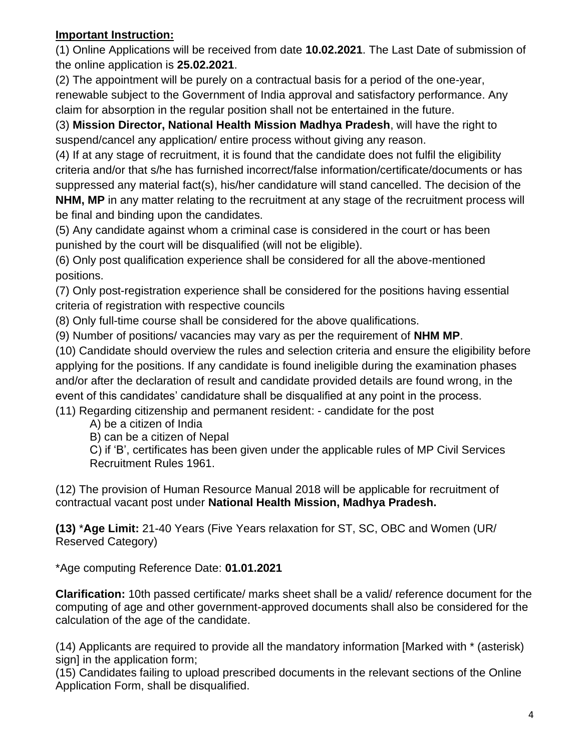#### **Important Instruction:**

(1) Online Applications will be received from date **10.02.2021**. The Last Date of submission of the online application is **25.02.2021**.

(2) The appointment will be purely on a contractual basis for a period of the one-year, renewable subject to the Government of India approval and satisfactory performance. Any claim for absorption in the regular position shall not be entertained in the future.

(3) **Mission Director, National Health Mission Madhya Pradesh**, will have the right to suspend/cancel any application/ entire process without giving any reason.

(4) If at any stage of recruitment, it is found that the candidate does not fulfil the eligibility criteria and/or that s/he has furnished incorrect/false information/certificate/documents or has suppressed any material fact(s), his/her candidature will stand cancelled. The decision of the **NHM, MP** in any matter relating to the recruitment at any stage of the recruitment process will be final and binding upon the candidates.

(5) Any candidate against whom a criminal case is considered in the court or has been punished by the court will be disqualified (will not be eligible).

(6) Only post qualification experience shall be considered for all the above-mentioned positions.

(7) Only post-registration experience shall be considered for the positions having essential criteria of registration with respective councils

(8) Only full-time course shall be considered for the above qualifications.

(9) Number of positions/ vacancies may vary as per the requirement of **NHM MP**.

(10) Candidate should overview the rules and selection criteria and ensure the eligibility before applying for the positions. If any candidate is found ineligible during the examination phases and/or after the declaration of result and candidate provided details are found wrong, in the event of this candidates' candidature shall be disqualified at any point in the process.

(11) Regarding citizenship and permanent resident: - candidate for the post

A) be a citizen of India

B) can be a citizen of Nepal

C) if 'B', certificates has been given under the applicable rules of MP Civil Services Recruitment Rules 1961.

(12) The provision of Human Resource Manual 2018 will be applicable for recruitment of contractual vacant post under **National Health Mission, Madhya Pradesh.**

**(13)** \***Age Limit:** 21-40 Years (Five Years relaxation for ST, SC, OBC and Women (UR/ Reserved Category)

\*Age computing Reference Date: **01.01.2021**

**Clarification:** 10th passed certificate/ marks sheet shall be a valid/ reference document for the computing of age and other government-approved documents shall also be considered for the calculation of the age of the candidate.

(14) Applicants are required to provide all the mandatory information [Marked with \* (asterisk) sign] in the application form;

(15) Candidates failing to upload prescribed documents in the relevant sections of the Online Application Form, shall be disqualified.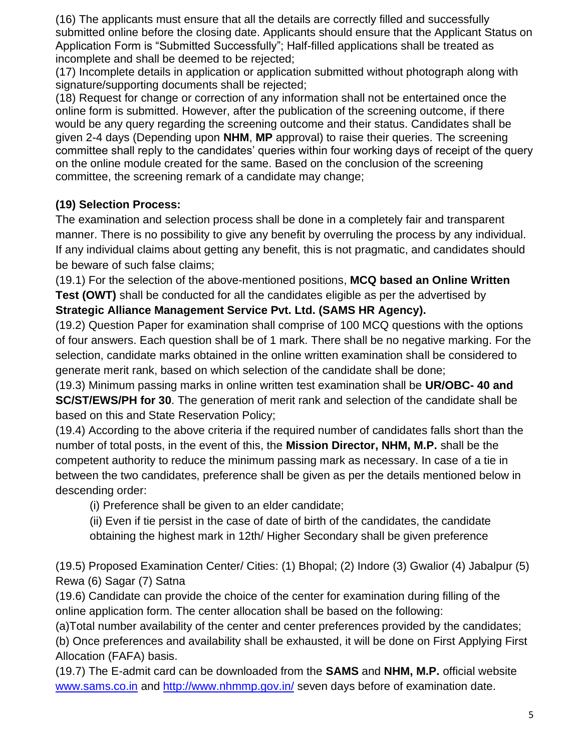(16) The applicants must ensure that all the details are correctly filled and successfully submitted online before the closing date. Applicants should ensure that the Applicant Status on Application Form is "Submitted Successfully"; Half-filled applications shall be treated as incomplete and shall be deemed to be rejected;

(17) Incomplete details in application or application submitted without photograph along with signature/supporting documents shall be rejected;

(18) Request for change or correction of any information shall not be entertained once the online form is submitted. However, after the publication of the screening outcome, if there would be any query regarding the screening outcome and their status. Candidates shall be given 2-4 days (Depending upon **NHM**, **MP** approval) to raise their queries. The screening committee shall reply to the candidates' queries within four working days of receipt of the query on the online module created for the same. Based on the conclusion of the screening committee, the screening remark of a candidate may change;

#### **(19) Selection Process:**

The examination and selection process shall be done in a completely fair and transparent manner. There is no possibility to give any benefit by overruling the process by any individual. If any individual claims about getting any benefit, this is not pragmatic, and candidates should be beware of such false claims;

(19.1) For the selection of the above-mentioned positions, **MCQ based an Online Written Test (OWT)** shall be conducted for all the candidates eligible as per the advertised by

#### **Strategic Alliance Management Service Pvt. Ltd. (SAMS HR Agency).**

(19.2) Question Paper for examination shall comprise of 100 MCQ questions with the options of four answers. Each question shall be of 1 mark. There shall be no negative marking. For the selection, candidate marks obtained in the online written examination shall be considered to generate merit rank, based on which selection of the candidate shall be done;

(19.3) Minimum passing marks in online written test examination shall be **UR/OBC- 40 and SC/ST/EWS/PH for 30**. The generation of merit rank and selection of the candidate shall be based on this and State Reservation Policy;

(19.4) According to the above criteria if the required number of candidates falls short than the number of total posts, in the event of this, the **Mission Director, NHM, M.P.** shall be the competent authority to reduce the minimum passing mark as necessary. In case of a tie in between the two candidates, preference shall be given as per the details mentioned below in descending order:

(i) Preference shall be given to an elder candidate;

(ii) Even if tie persist in the case of date of birth of the candidates, the candidate obtaining the highest mark in 12th/ Higher Secondary shall be given preference

(19.5) Proposed Examination Center/ Cities: (1) Bhopal; (2) Indore (3) Gwalior (4) Jabalpur (5) Rewa (6) Sagar (7) Satna

(19.6) Candidate can provide the choice of the center for examination during filling of the online application form. The center allocation shall be based on the following:

(a)Total number availability of the center and center preferences provided by the candidates; (b) Once preferences and availability shall be exhausted, it will be done on First Applying First Allocation (FAFA) basis.

(19.7) The E-admit card can be downloaded from the **SAMS** and **NHM, M.P.** official website [www.sams.co.in](http://www.sams.co.in/) and<http://www.nhmmp.gov.in/> seven days before of examination date.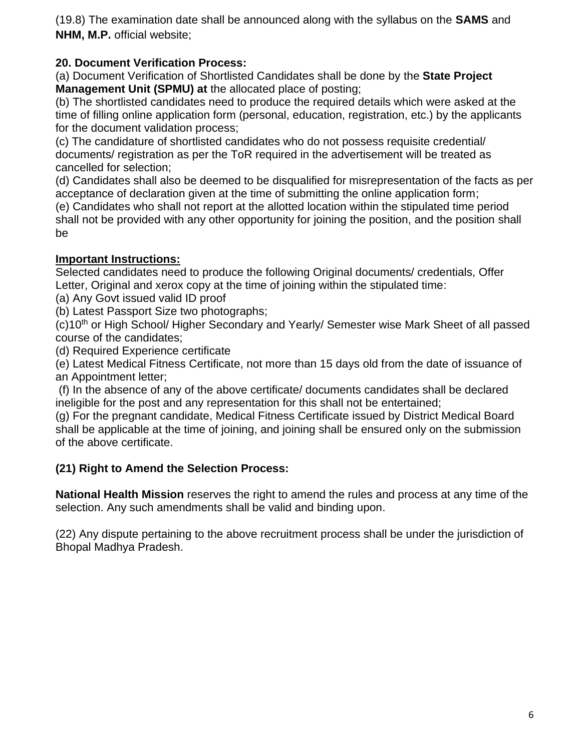(19.8) The examination date shall be announced along with the syllabus on the **SAMS** and **NHM, M.P.** official website;

#### **20. Document Verification Process:**

(a) Document Verification of Shortlisted Candidates shall be done by the **State Project Management Unit (SPMU) at** the allocated place of posting;

(b) The shortlisted candidates need to produce the required details which were asked at the time of filling online application form (personal, education, registration, etc.) by the applicants for the document validation process;

(c) The candidature of shortlisted candidates who do not possess requisite credential/ documents/ registration as per the ToR required in the advertisement will be treated as cancelled for selection;

(d) Candidates shall also be deemed to be disqualified for misrepresentation of the facts as per acceptance of declaration given at the time of submitting the online application form;

(e) Candidates who shall not report at the allotted location within the stipulated time period shall not be provided with any other opportunity for joining the position, and the position shall be

### **Important Instructions:**

Selected candidates need to produce the following Original documents/ credentials, Offer Letter, Original and xerox copy at the time of joining within the stipulated time:

(a) Any Govt issued valid ID proof

(b) Latest Passport Size two photographs;

(c)10<sup>th</sup> or High School/ Higher Secondary and Yearly/ Semester wise Mark Sheet of all passed course of the candidates;

(d) Required Experience certificate

(e) Latest Medical Fitness Certificate, not more than 15 days old from the date of issuance of an Appointment letter;

(f) In the absence of any of the above certificate/ documents candidates shall be declared ineligible for the post and any representation for this shall not be entertained;

(g) For the pregnant candidate, Medical Fitness Certificate issued by District Medical Board shall be applicable at the time of joining, and joining shall be ensured only on the submission of the above certificate.

# **(21) Right to Amend the Selection Process:**

**National Health Mission** reserves the right to amend the rules and process at any time of the selection. Any such amendments shall be valid and binding upon.

(22) Any dispute pertaining to the above recruitment process shall be under the jurisdiction of Bhopal Madhya Pradesh.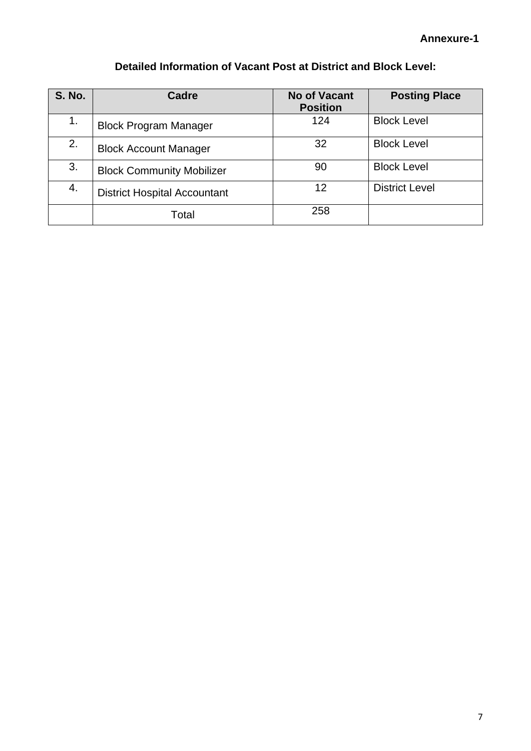# **Detailed Information of Vacant Post at District and Block Level:**

| <b>S. No.</b> | <b>Cadre</b>                        | <b>No of Vacant</b><br><b>Position</b> | <b>Posting Place</b>  |
|---------------|-------------------------------------|----------------------------------------|-----------------------|
| 1.            | <b>Block Program Manager</b>        | 124                                    | <b>Block Level</b>    |
| 2.            | <b>Block Account Manager</b>        | 32                                     | <b>Block Level</b>    |
| 3.            | <b>Block Community Mobilizer</b>    | 90                                     | <b>Block Level</b>    |
| 4.            | <b>District Hospital Accountant</b> | 12                                     | <b>District Level</b> |
|               | Total                               | 258                                    |                       |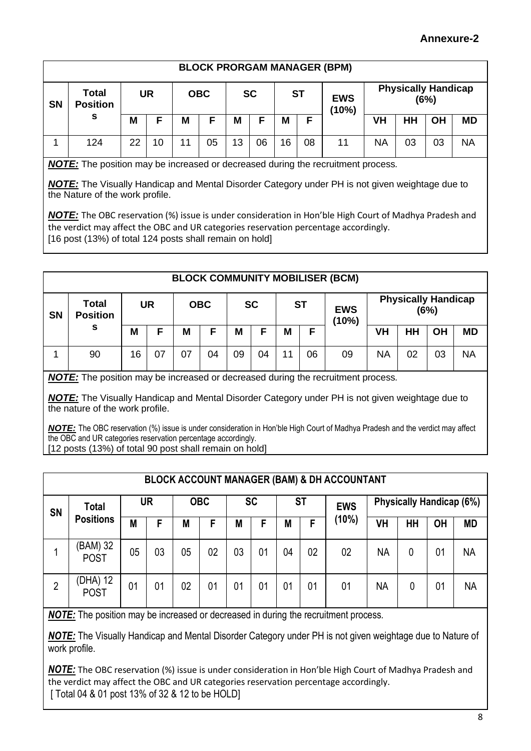#### **Annexure-2**

|           | <b>BLOCK PRORGAM MANAGER (BPM)</b>   |           |    |            |    |           |    |           |    |                     |                                    |    |    |           |
|-----------|--------------------------------------|-----------|----|------------|----|-----------|----|-----------|----|---------------------|------------------------------------|----|----|-----------|
| <b>SN</b> | <b>Total</b><br><b>Position</b><br>s | <b>UR</b> |    | <b>OBC</b> |    | <b>SC</b> |    | <b>ST</b> |    | <b>EWS</b><br>(10%) | <b>Physically Handicap</b><br>(6%) |    |    |           |
|           |                                      | M         | E  | M          | F  | M         | Е  | M         | E  |                     | VH                                 | HН | OH | <b>MD</b> |
|           | 124                                  | 22        | 10 | 11         | 05 | 13        | 06 | 16        | 08 | 11                  | <b>NA</b>                          | 03 | 03 | NA        |

*NOTE:* The position may be increased or decreased during the recruitment process*.*

*NOTE:* The Visually Handicap and Mental Disorder Category under PH is not given weightage due to the Nature of the work profile.

*NOTE:* The OBC reservation (%) issue is under consideration in Hon'ble High Court of Madhya Pradesh and the verdict may affect the OBC and UR categories reservation percentage accordingly. [16 post (13%) of total 124 posts shall remain on hold]

|           | <b>BLOCK COMMUNITY MOBILISER (BCM)</b> |           |    |            |    |           |    |           |    |                     |                                    |           |           |           |
|-----------|----------------------------------------|-----------|----|------------|----|-----------|----|-----------|----|---------------------|------------------------------------|-----------|-----------|-----------|
| <b>SN</b> | <b>Total</b><br><b>Position</b>        | <b>UR</b> |    | <b>OBC</b> |    | <b>SC</b> |    | <b>ST</b> |    | <b>EWS</b><br>(10%) | <b>Physically Handicap</b><br>(6%) |           |           |           |
|           | s                                      | Μ         | F  | M          | F  | M         |    | M         | F  |                     | VH                                 | <b>HH</b> | <b>OH</b> | <b>MD</b> |
|           | 90                                     | 16        | 07 | 07         | 04 | 09        | 04 | 11        | 06 | 09                  | <b>NA</b>                          | 02        | 03        | <b>NA</b> |

*NOTE:* The position may be increased or decreased during the recruitment process*.*

*NOTE:* The Visually Handicap and Mental Disorder Category under PH is not given weightage due to the nature of the work profile.

*NOTE:* The OBC reservation (%) issue is under consideration in Hon'ble High Court of Madhya Pradesh and the verdict may affect the OBC and UR categories reservation percentage accordingly. [12 posts (13%) of total 90 post shall remain on hold]

|           | <b>BLOCK ACCOUNT MANAGER (BAM) &amp; DH ACCOUNTANT</b> |    |                |            |    |                |    |           |    |                |                                 |    |                |           |
|-----------|--------------------------------------------------------|----|----------------|------------|----|----------------|----|-----------|----|----------------|---------------------------------|----|----------------|-----------|
| <b>SN</b> | <b>Total</b><br><b>Positions</b>                       |    | <b>UR</b>      | <b>OBC</b> |    | <b>SC</b>      |    | <b>ST</b> |    | <b>EWS</b>     | <b>Physically Handicap (6%)</b> |    |                |           |
|           |                                                        | M  | F              | M          | F  | М              | F  | M         | F  | (10%)          | VH                              | HH | <b>OH</b>      | <b>MD</b> |
|           | (BAM) 32<br><b>POST</b>                                | 05 | 03             | 05         | 02 | 03             | 01 | 04        | 02 | 02             | <b>NA</b>                       | 0  | 01             | <b>NA</b> |
| 2         | (DHA) 12<br><b>POST</b>                                | 01 | 0 <sub>1</sub> | 02         | 01 | 0 <sub>1</sub> | 01 | 01        | 01 | 0 <sub>1</sub> | NA                              | 0  | 0 <sup>1</sup> | <b>NA</b> |

*NOTE:* The position may be increased or decreased in during the recruitment process*.*

*NOTE:* The Visually Handicap and Mental Disorder Category under PH is not given weightage due to Nature of work profile.

*NOTE:* The OBC reservation (%) issue is under consideration in Hon'ble High Court of Madhya Pradesh and the verdict may affect the OBC and UR categories reservation percentage accordingly. [ Total 04 & 01 post 13% of 32 & 12 to be HOLD]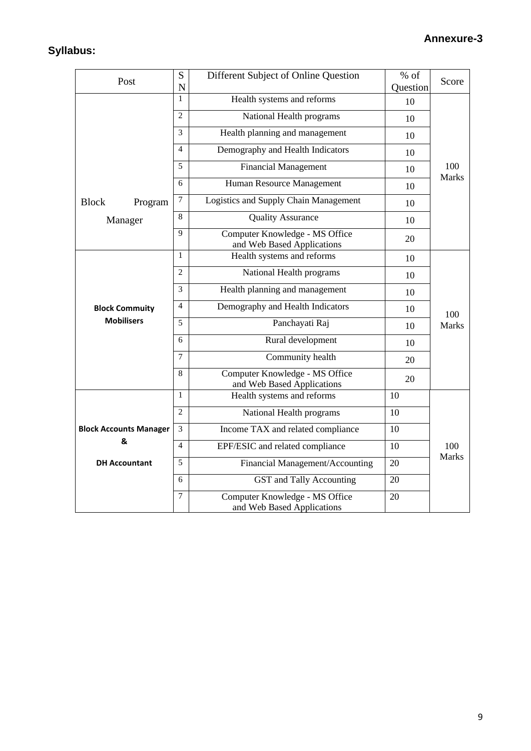# **Syllabus:**

| Post                          | ${\bf S}$      | Different Subject of Online Question                         | % of     | Score               |  |
|-------------------------------|----------------|--------------------------------------------------------------|----------|---------------------|--|
|                               | N<br>1         |                                                              | Question |                     |  |
|                               |                | Health systems and reforms                                   | 10       |                     |  |
|                               | $\overline{2}$ | National Health programs                                     | 10       |                     |  |
|                               | 3              | Health planning and management                               | 10       |                     |  |
|                               | 4              | Demography and Health Indicators                             | 10       |                     |  |
|                               | 5              | <b>Financial Management</b>                                  | 10       | 100<br><b>Marks</b> |  |
|                               | 6              | Human Resource Management                                    | 10       |                     |  |
| <b>Block</b><br>Program       | $\overline{7}$ | Logistics and Supply Chain Management                        | 10       |                     |  |
| Manager                       | 8              | <b>Quality Assurance</b>                                     | 10       |                     |  |
|                               | $\mathbf Q$    | Computer Knowledge - MS Office<br>and Web Based Applications | 20       |                     |  |
|                               | 1              | Health systems and reforms                                   | 10       |                     |  |
|                               | $\overline{2}$ | National Health programs                                     | 10       | 100                 |  |
|                               | 3              | Health planning and management                               | 10       |                     |  |
| <b>Block Commuity</b>         | 4              | Demography and Health Indicators                             | 10       |                     |  |
| <b>Mobilisers</b>             | 5              | Panchayati Raj                                               | 10       | <b>Marks</b>        |  |
|                               | 6              | Rural development                                            | 10       |                     |  |
|                               | 7              | Community health                                             | 20       |                     |  |
|                               | 8              | Computer Knowledge - MS Office<br>and Web Based Applications | 20       |                     |  |
|                               | 1              | Health systems and reforms                                   | 10       |                     |  |
|                               | 2              | National Health programs                                     | 10       |                     |  |
| <b>Block Accounts Manager</b> | 3              | Income TAX and related compliance                            | 10       |                     |  |
| &                             | $\overline{4}$ | EPF/ESIC and related compliance                              | 10       | 100                 |  |
| <b>DH Accountant</b>          | 5              | Financial Management/Accounting                              | 20       | <b>Marks</b>        |  |
|                               | 6              | GST and Tally Accounting                                     | 20       |                     |  |
|                               | 7              | Computer Knowledge - MS Office<br>and Web Based Applications | 20       |                     |  |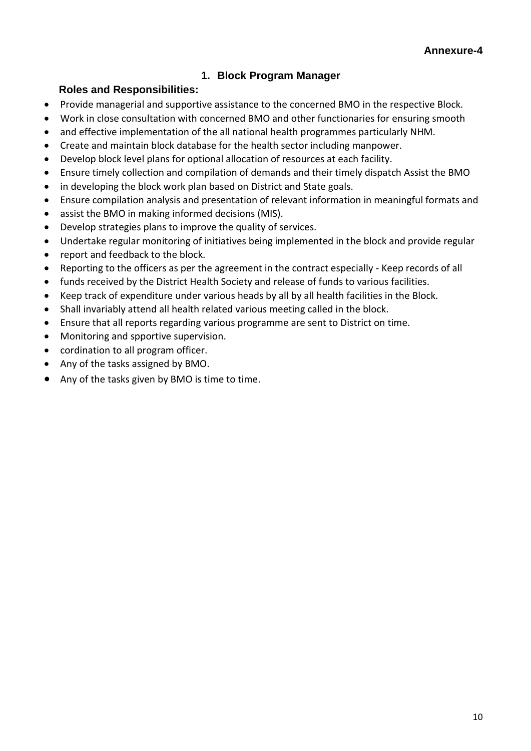#### **1. Block Program Manager**

#### **Roles and Responsibilities:**

- Provide managerial and supportive assistance to the concerned BMO in the respective Block.
- Work in close consultation with concerned BMO and other functionaries for ensuring smooth
- and effective implementation of the all national health programmes particularly NHM.
- Create and maintain block database for the health sector including manpower.
- Develop block level plans for optional allocation of resources at each facility.
- Ensure timely collection and compilation of demands and their timely dispatch Assist the BMO
- in developing the block work plan based on District and State goals.
- Ensure compilation analysis and presentation of relevant information in meaningful formats and
- assist the BMO in making informed decisions (MIS).
- Develop strategies plans to improve the quality of services.
- Undertake regular monitoring of initiatives being implemented in the block and provide regular
- report and feedback to the block.
- Reporting to the officers as per the agreement in the contract especially Keep records of all
- funds received by the District Health Society and release of funds to various facilities.
- Keep track of expenditure under various heads by all by all health facilities in the Block.
- Shall invariably attend all health related various meeting called in the block.
- Ensure that all reports regarding various programme are sent to District on time.
- Monitoring and spportive supervision.
- cordination to all program officer.
- Any of the tasks assigned by BMO.
- Any of the tasks given by BMO is time to time.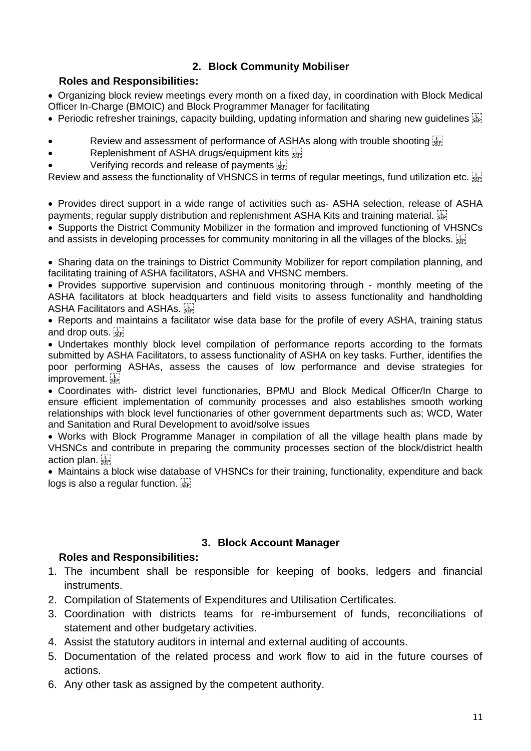## **2. Block Community Mobiliser**

#### **Roles and Responsibilities:**

• Organizing block review meetings every month on a fixed day, in coordination with Block Medical Officer In-Charge (BMOIC) and Block Programmer Manager for facilitating

- Periodic refresher trainings, capacity building, updating information and sharing new guidelines  $\overline{S}$
- Review and assessment of performance of ASHAs along with trouble shooting **SEPI**
- Replenishment of ASHA drugs/equipment kits
- Verifying records and release of payments

Review and assess the functionality of VHSNCS in terms of regular meetings, fund utilization etc.

• Provides direct support in a wide range of activities such as- ASHA selection, release of ASHA payments, regular supply distribution and replenishment ASHA Kits and training material.

• Supports the District Community Mobilizer in the formation and improved functioning of VHSNCs and assists in developing processes for community monitoring in all the villages of the blocks.

• Sharing data on the trainings to District Community Mobilizer for report compilation planning, and facilitating training of ASHA facilitators, ASHA and VHSNC members.

• Provides supportive supervision and continuous monitoring through - monthly meeting of the ASHA facilitators at block headquarters and field visits to assess functionality and handholding ASHA Facilitators and ASHAs.

• Reports and maintains a facilitator wise data base for the profile of every ASHA, training status and drop outs.

• Undertakes monthly block level compilation of performance reports according to the formats submitted by ASHA Facilitators, to assess functionality of ASHA on key tasks. Further, identifies the poor performing ASHAs, assess the causes of low performance and devise strategies for improvement.

• Coordinates with- district level functionaries, BPMU and Block Medical Officer/In Charge to ensure efficient implementation of community processes and also establishes smooth working relationships with block level functionaries of other government departments such as; WCD, Water and Sanitation and Rural Development to avoid/solve issues

• Works with Block Programme Manager in compilation of all the village health plans made by VHSNCs and contribute in preparing the community processes section of the block/district health action plan.

• Maintains a block wise database of VHSNCs for their training, functionality, expenditure and back logs is also a regular function.

#### **3. Block Account Manager**

#### **Roles and Responsibilities:**

- 1. The incumbent shall be responsible for keeping of books, ledgers and financial instruments.
- 2. Compilation of Statements of Expenditures and Utilisation Certificates.
- 3. Coordination with districts teams for re-imbursement of funds, reconciliations of statement and other budgetary activities.
- 4. Assist the statutory auditors in internal and external auditing of accounts.
- 5. Documentation of the related process and work flow to aid in the future courses of actions.
- 6. Any other task as assigned by the competent authority.